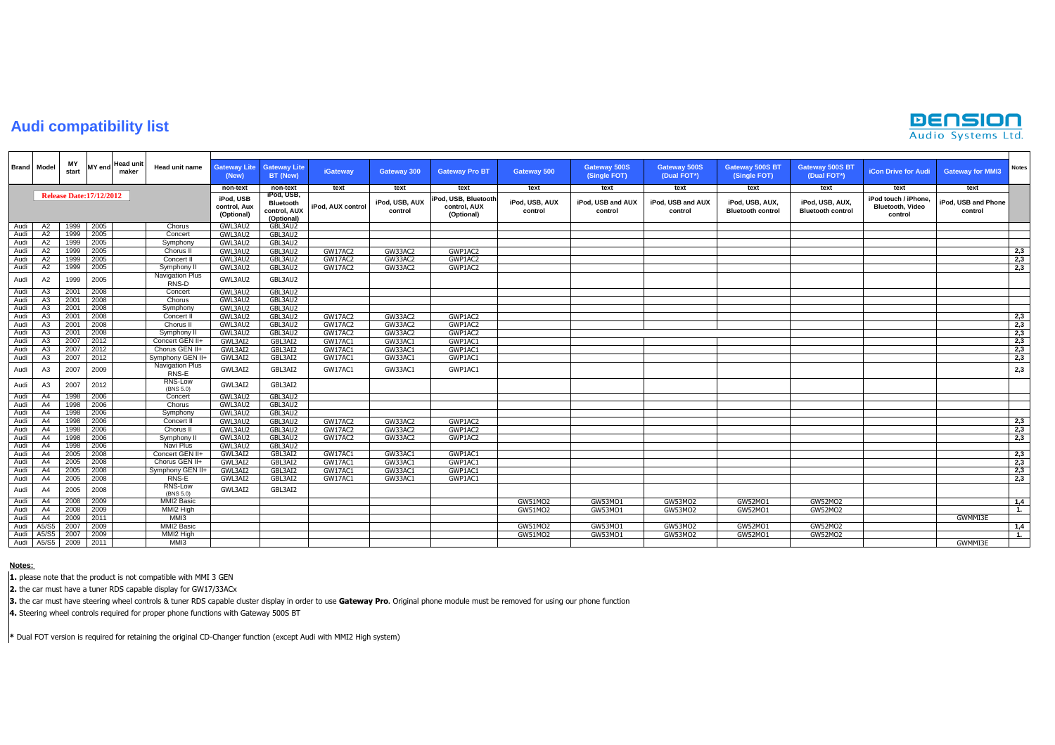## **Audi compatibility list**



|      | <b>Brand</b> Model |             | <b>Head unit</b><br><b>MY</b> end<br>maker | <b>Head unit name</b>           |                                         |                                                              |                   |                           |                                                   |                           |                                     |                                    |                                             |                                             |                                                            |                                |                |
|------|--------------------|-------------|--------------------------------------------|---------------------------------|-----------------------------------------|--------------------------------------------------------------|-------------------|---------------------------|---------------------------------------------------|---------------------------|-------------------------------------|------------------------------------|---------------------------------------------|---------------------------------------------|------------------------------------------------------------|--------------------------------|----------------|
|      |                    | MΥ<br>start |                                            |                                 | <b>Gateway Lite</b><br>(New)            | <b>Gateway Lite</b><br>BT (New)                              | <b>iGateway</b>   | <b>Gateway 300</b>        | <b>Gateway Pro BT</b>                             | <b>Gateway 500</b>        | <b>Gateway 500S</b><br>(Single FOT) | <b>Gateway 500S</b><br>(Dual FOT*) | Gateway 500S BT<br>(Single FOT)             | <b>Gateway 500S BT</b><br>(Dual FOT*)       | <b>iCon Drive for Audi</b>                                 | <b>Gateway for MMI3</b>        | <b>Notes</b>   |
|      |                    |             |                                            |                                 | non-text                                | non-text                                                     | text              | text                      | text                                              | text                      | text                                | text                               | text                                        | text                                        | text                                                       | text                           |                |
|      |                    |             | <b>Release Date:17/12/2012</b>             |                                 | iPod, USB<br>control, Aux<br>(Optional) | iPod, USB,<br><b>Bluetooth</b><br>control, AUX<br>(Optional) | iPod, AUX control | iPod, USB, AUX<br>control | Pod, USB, Bluetooth<br>control, AUX<br>(Optional) | iPod, USB, AUX<br>control | iPod, USB and AUX<br>control        | iPod, USB and AUX<br>control       | iPod, USB, AUX,<br><b>Bluetooth control</b> | iPod, USB, AUX,<br><b>Bluetooth control</b> | iPod touch / iPhone,<br><b>Bluetooth, Video</b><br>control | iPod. USB and Phone<br>control |                |
| Audi | A2                 | 1999        | 2005                                       | Chorus                          | GWL3AU2                                 | GBL3AU2                                                      |                   |                           |                                                   |                           |                                     |                                    |                                             |                                             |                                                            |                                |                |
| Audi | A2                 | 1999        | 2005                                       | Concert                         | GWL3AU2                                 | GBL3AU2                                                      |                   |                           |                                                   |                           |                                     |                                    |                                             |                                             |                                                            |                                |                |
| Audi | A2                 | 1999        | 2005                                       | Symphony                        | GWL3AU2                                 | GBL3AU2                                                      |                   |                           |                                                   |                           |                                     |                                    |                                             |                                             |                                                            |                                |                |
| Audi | A2                 | 1999        | 2005                                       | Chorus II                       | GWL3AU2                                 | GBL3AU2                                                      | GW17AC2           | GW33AC2                   | GWP1AC2                                           |                           |                                     |                                    |                                             |                                             |                                                            |                                | 2,3            |
| Audi | A2                 | 1999        | 2005                                       | Concert II                      | GWL3AU2                                 | GBL3AU2                                                      | GW17AC2           | GW33AC2                   | GWP1AC2                                           |                           |                                     |                                    |                                             |                                             |                                                            |                                | 2,3            |
| Audi | A2                 | 1999        | 2005                                       | Symphony II                     | GWL3AU2                                 | GBL3AU2                                                      | GW17AC2           | GW33AC2                   | GWP1AC2                                           |                           |                                     |                                    |                                             |                                             |                                                            |                                | 2,3            |
| Audi | A <sub>2</sub>     | 1999        | 2005                                       | <b>Navigation Plus</b><br>RNS-D | GWL3AU2                                 | GBL3AU2                                                      |                   |                           |                                                   |                           |                                     |                                    |                                             |                                             |                                                            |                                |                |
| Audi | A3                 | 2001        | 2008                                       | Concert                         | GWL3AU2                                 | GBL3AU2                                                      |                   |                           |                                                   |                           |                                     |                                    |                                             |                                             |                                                            |                                |                |
| Audi | A3                 | 2001        | 2008                                       | Chorus                          | GWL3AU2                                 | GBL3AU2                                                      |                   |                           |                                                   |                           |                                     |                                    |                                             |                                             |                                                            |                                |                |
| Audi | A3                 | 2001        | 2008                                       | Symphony                        | GWL3AU2                                 | GBL3AU2                                                      |                   |                           |                                                   |                           |                                     |                                    |                                             |                                             |                                                            |                                |                |
| Audi | A3                 | 2001        | 2008                                       | Concert II                      | GWL3AU2                                 | GBL3AU2                                                      | GW17AC2           | GW33AC2                   | GWP1AC2                                           |                           |                                     |                                    |                                             |                                             |                                                            |                                | 2,3            |
| Audi | A3                 | 2001        | 2008                                       | Chorus II                       | GWL3AU2                                 | GBL3AU2                                                      | GW17AC2           | GW33AC2                   | GWP1AC2                                           |                           |                                     |                                    |                                             |                                             |                                                            |                                | 2,3            |
| Audi | A3                 | 2001        | 2008                                       | Symphony II                     | GWL3AU2                                 | GBL3AU2                                                      | GW17AC2           | GW33AC2                   | GWP1AC2                                           |                           |                                     |                                    |                                             |                                             |                                                            |                                | 2,3            |
| Audi | A3                 | 2007        | 2012                                       | Concert GEN II+                 | GWL3AI2                                 | GBL3AI2                                                      | GW17AC1           | GW33AC1                   | GWP1AC1                                           |                           |                                     |                                    |                                             |                                             |                                                            |                                | 2,3            |
| Audi | A <sub>3</sub>     | 2007        | 2012                                       | Chorus GEN II+                  | GWL3AI2                                 | GBL3AI2                                                      | GW17AC1           | GW33AC1                   | GWP1AC1                                           |                           |                                     |                                    |                                             |                                             |                                                            |                                | 2,3            |
| Audi | A3                 | 2007        | 2012                                       | Symphony GEN II+                | GWL3AI2                                 | GBL3AI2                                                      | GW17AC1           | GW33AC1                   | GWP1AC1                                           |                           |                                     |                                    |                                             |                                             |                                                            |                                | 2,3            |
| Audi | A <sub>3</sub>     | 2007        | 2009                                       | Navigation Plus<br>RNS-E        | GWL3AI2                                 | GBL3AI2                                                      | GW17AC1           | GW33AC1                   | GWP1AC1                                           |                           |                                     |                                    |                                             |                                             |                                                            |                                | 2,3            |
| Audi | A <sub>3</sub>     | 2007        | 2012                                       | <b>RNS-Low</b><br>(BNS 5.0)     | GWL3AI2                                 | GBL3AI2                                                      |                   |                           |                                                   |                           |                                     |                                    |                                             |                                             |                                                            |                                |                |
| Audi | A4                 | 1998        | 2006                                       | Concert                         | GWL3AU2                                 | GBL3AU2                                                      |                   |                           |                                                   |                           |                                     |                                    |                                             |                                             |                                                            |                                |                |
| Audi | A4                 | 1998        | 2006                                       | Chorus                          | GWL3AU2                                 | GBL3AU2                                                      |                   |                           |                                                   |                           |                                     |                                    |                                             |                                             |                                                            |                                |                |
| Audi | A4                 | 1998        | 2006                                       | Symphony                        | GWL3AU2                                 | GBL3AU2                                                      |                   |                           |                                                   |                           |                                     |                                    |                                             |                                             |                                                            |                                |                |
| Audi | A4                 | 1998        | 2006                                       | Concert II                      | GWL3AU2                                 | GBL3AU2                                                      | GW17AC2           | GW33AC2                   | GWP1AC2                                           |                           |                                     |                                    |                                             |                                             |                                                            |                                | 2,3            |
| Audi | A4                 | 1998        | 2006                                       | Chorus II                       | GWL3AU2                                 | GBL3AU2                                                      | GW17AC2           | GW33AC2                   | GWP1AC2                                           |                           |                                     |                                    |                                             |                                             |                                                            |                                | 2,3            |
| Audi | A4                 | 1998        | 2006                                       | Symphony II                     | GWL3AU2                                 | GBL3AU2                                                      | GW17AC2           | GW33AC2                   | GWP1AC2                                           |                           |                                     |                                    |                                             |                                             |                                                            |                                | 2,3            |
| Audi | A <sub>4</sub>     | 1998        | 2006                                       | Navi Plus                       | GWL3AU2                                 | GBL3AU2                                                      |                   |                           |                                                   |                           |                                     |                                    |                                             |                                             |                                                            |                                |                |
| Audi | A4                 | 2005        | 2008                                       | Concert GEN II+                 | GWL3AI2                                 | GBL3AI2                                                      | GW17AC1           | GW33AC1                   | GWP1AC1                                           |                           |                                     |                                    |                                             |                                             |                                                            |                                | 2,3            |
| Audi | A4                 | 2005        | 2008                                       | Chorus GEN II+                  | GWL3AI2                                 | GBL3AI2                                                      | GW17AC1           | GW33AC1                   | GWP1AC1                                           |                           |                                     |                                    |                                             |                                             |                                                            |                                | 2,3            |
| Audi | A4                 | 2005        | 2008                                       | Symphony GEN II+                | GWL3AI2                                 | GBL3AI2                                                      | GW17AC1           | GW33AC1                   | GWP1AC1                                           |                           |                                     |                                    |                                             |                                             |                                                            |                                | 2,3            |
| Audi | A4                 | 2005        | 2008                                       | RNS-E                           | GWL3AI2                                 | GBL3AI2                                                      | GW17AC1           | GW33AC1                   | GWP1AC1                                           |                           |                                     |                                    |                                             |                                             |                                                            |                                | 2,3            |
| Audi | A4                 | 2005        | 2008                                       | <b>RNS-Low</b><br>(BNS 5.0)     | GWL3AI2                                 | GBL3AI2                                                      |                   |                           |                                                   |                           |                                     |                                    |                                             |                                             |                                                            |                                |                |
| Audi | A4                 | 2008        | 2009                                       | MMI2 Basic                      |                                         |                                                              |                   |                           |                                                   | GW51MO2                   | GW53MO1                             | GW53MO2                            | GW52MO1                                     | GW52MO2                                     |                                                            |                                | 1,4            |
| Audi | A4                 | 2008        | 2009                                       | MMI2 High                       |                                         |                                                              |                   |                           |                                                   | GW51MO2                   | GW53MO1                             | GW53MO2                            | GW52MO1                                     | GW52MO2                                     |                                                            |                                | 1.             |
| Audi | A4                 | 2009        | 2011                                       | MM <sub>13</sub>                |                                         |                                                              |                   |                           |                                                   |                           |                                     |                                    |                                             |                                             |                                                            | GWMMI3E                        |                |
| Audi | A5/S5              | 2007        | 2009                                       | MMI2 Basic                      |                                         |                                                              |                   |                           |                                                   | GW51MO2                   | GW53MO1                             | GW53MO2                            | GW52MO1                                     | GW52MO2                                     |                                                            |                                | 1,4            |
| Audi | A5/S5              | 2007        | 2009                                       | MMI2 High                       |                                         |                                                              |                   |                           |                                                   | GW51MO2                   | GW53MO1                             | GW53MO2                            | GW52MO1                                     | GW52MO2                                     |                                                            |                                | $\mathbf{1}$ . |
| Audi | A5/S5 2009         |             | 2011                                       | MMI3                            |                                         |                                                              |                   |                           |                                                   |                           |                                     |                                    |                                             |                                             |                                                            | GWMMI3E                        |                |

## **Notes:**

**1.** please note that the product is not compatible with MMI 3 GEN

**2.** the car must have a tuner RDS capable display for GW17/33ACx

**3.** the car must have steering wheel controls & tuner RDS capable cluster display in order to use **Gateway Pro**. Original phone module must be removed for using our phone function

**4.** Steering wheel controls required for proper phone functions with Gateway 500S BT

**\*** Dual FOT version is required for retaining the original CD-Changer function (except Audi with MMI2 High system)